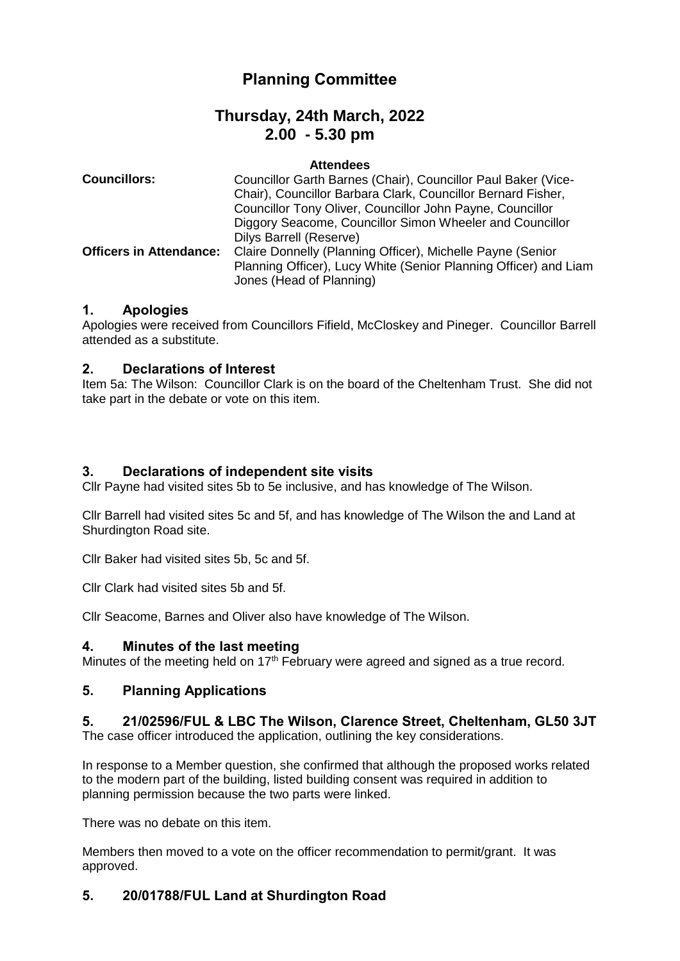# **Planning Committee**

# **Thursday, 24th March, 2022 2.00 - 5.30 pm**

#### **Attendees**

| <b>Councillors:</b>            | Councillor Garth Barnes (Chair), Councillor Paul Baker (Vice-                                |
|--------------------------------|----------------------------------------------------------------------------------------------|
|                                | Chair), Councillor Barbara Clark, Councillor Bernard Fisher,                                 |
|                                | Councillor Tony Oliver, Councillor John Payne, Councillor                                    |
|                                | Diggory Seacome, Councillor Simon Wheeler and Councillor                                     |
|                                | Dilys Barrell (Reserve)                                                                      |
| <b>Officers in Attendance:</b> | Claire Donnelly (Planning Officer), Michelle Payne (Senior                                   |
|                                | Planning Officer), Lucy White (Senior Planning Officer) and Liam<br>Jones (Head of Planning) |

### **1. Apologies**

Apologies were received from Councillors Fifield, McCloskey and Pineger. Councillor Barrell attended as a substitute.

# **2. Declarations of Interest**

Item 5a: The Wilson: Councillor Clark is on the board of the Cheltenham Trust. She did not take part in the debate or vote on this item.

# **3. Declarations of independent site visits**

Cllr Payne had visited sites 5b to 5e inclusive, and has knowledge of The Wilson.

Cllr Barrell had visited sites 5c and 5f, and has knowledge of The Wilson the and Land at Shurdington Road site.

Cllr Baker had visited sites 5b, 5c and 5f.

Cllr Clark had visited sites 5b and 5f.

Cllr Seacome, Barnes and Oliver also have knowledge of The Wilson.

# **4. Minutes of the last meeting**

Minutes of the meeting held on 17<sup>th</sup> February were agreed and signed as a true record.

# **5. Planning Applications**

# **5. 21/02596/FUL & LBC The Wilson, Clarence Street, Cheltenham, GL50 3JT**

The case officer introduced the application, outlining the key considerations.

In response to a Member question, she confirmed that although the proposed works related to the modern part of the building, listed building consent was required in addition to planning permission because the two parts were linked.

There was no debate on this item.

Members then moved to a vote on the officer recommendation to permit/grant. It was approved.

# **5. 20/01788/FUL Land at Shurdington Road**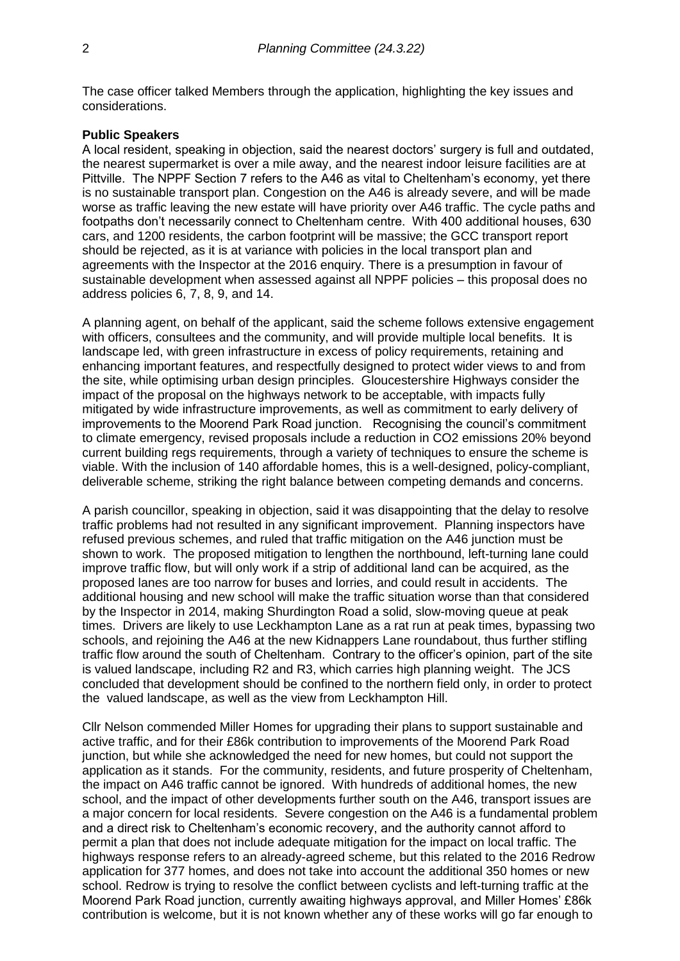The case officer talked Members through the application, highlighting the key issues and considerations.

#### **Public Speakers**

A local resident, speaking in objection, said the nearest doctors' surgery is full and outdated, the nearest supermarket is over a mile away, and the nearest indoor leisure facilities are at Pittville. The NPPF Section 7 refers to the A46 as vital to Cheltenham's economy, yet there is no sustainable transport plan. Congestion on the A46 is already severe, and will be made worse as traffic leaving the new estate will have priority over A46 traffic. The cycle paths and footpaths don't necessarily connect to Cheltenham centre. With 400 additional houses, 630 cars, and 1200 residents, the carbon footprint will be massive; the GCC transport report should be rejected, as it is at variance with policies in the local transport plan and agreements with the Inspector at the 2016 enquiry. There is a presumption in favour of sustainable development when assessed against all NPPF policies – this proposal does no address policies 6, 7, 8, 9, and 14.

A planning agent, on behalf of the applicant, said the scheme follows extensive engagement with officers, consultees and the community, and will provide multiple local benefits. It is landscape led, with green infrastructure in excess of policy requirements, retaining and enhancing important features, and respectfully designed to protect wider views to and from the site, while optimising urban design principles. Gloucestershire Highways consider the impact of the proposal on the highways network to be acceptable, with impacts fully mitigated by wide infrastructure improvements, as well as commitment to early delivery of improvements to the Moorend Park Road junction. Recognising the council's commitment to climate emergency, revised proposals include a reduction in CO2 emissions 20% beyond current building regs requirements, through a variety of techniques to ensure the scheme is viable. With the inclusion of 140 affordable homes, this is a well-designed, policy-compliant, deliverable scheme, striking the right balance between competing demands and concerns.

A parish councillor, speaking in objection, said it was disappointing that the delay to resolve traffic problems had not resulted in any significant improvement. Planning inspectors have refused previous schemes, and ruled that traffic mitigation on the A46 junction must be shown to work. The proposed mitigation to lengthen the northbound, left-turning lane could improve traffic flow, but will only work if a strip of additional land can be acquired, as the proposed lanes are too narrow for buses and lorries, and could result in accidents. The additional housing and new school will make the traffic situation worse than that considered by the Inspector in 2014, making Shurdington Road a solid, slow-moving queue at peak times. Drivers are likely to use Leckhampton Lane as a rat run at peak times, bypassing two schools, and rejoining the A46 at the new Kidnappers Lane roundabout, thus further stifling traffic flow around the south of Cheltenham. Contrary to the officer's opinion, part of the site is valued landscape, including R2 and R3, which carries high planning weight. The JCS concluded that development should be confined to the northern field only, in order to protect the valued landscape, as well as the view from Leckhampton Hill.

Cllr Nelson commended Miller Homes for upgrading their plans to support sustainable and active traffic, and for their £86k contribution to improvements of the Moorend Park Road junction, but while she acknowledged the need for new homes, but could not support the application as it stands. For the community, residents, and future prosperity of Cheltenham, the impact on A46 traffic cannot be ignored. With hundreds of additional homes, the new school, and the impact of other developments further south on the A46, transport issues are a major concern for local residents. Severe congestion on the A46 is a fundamental problem and a direct risk to Cheltenham's economic recovery, and the authority cannot afford to permit a plan that does not include adequate mitigation for the impact on local traffic. The highways response refers to an already-agreed scheme, but this related to the 2016 Redrow application for 377 homes, and does not take into account the additional 350 homes or new school. Redrow is trying to resolve the conflict between cyclists and left-turning traffic at the Moorend Park Road junction, currently awaiting highways approval, and Miller Homes' £86k contribution is welcome, but it is not known whether any of these works will go far enough to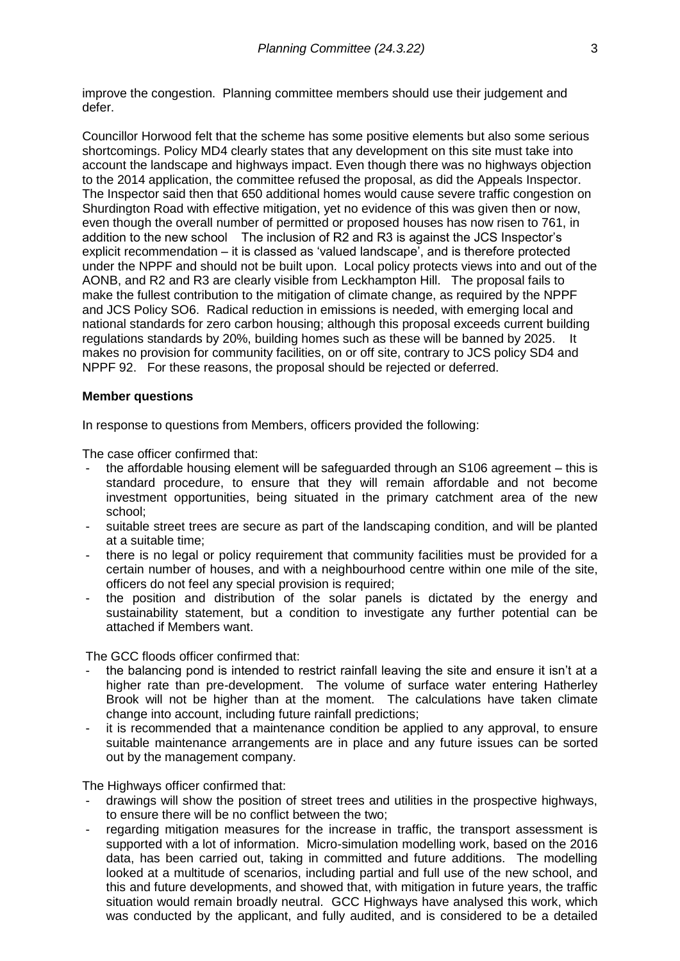improve the congestion. Planning committee members should use their judgement and defer.

Councillor Horwood felt that the scheme has some positive elements but also some serious shortcomings. Policy MD4 clearly states that any development on this site must take into account the landscape and highways impact. Even though there was no highways objection to the 2014 application, the committee refused the proposal, as did the Appeals Inspector. The Inspector said then that 650 additional homes would cause severe traffic congestion on Shurdington Road with effective mitigation, yet no evidence of this was given then or now, even though the overall number of permitted or proposed houses has now risen to 761, in addition to the new school The inclusion of R2 and R3 is against the JCS Inspector's explicit recommendation – it is classed as 'valued landscape', and is therefore protected under the NPPF and should not be built upon. Local policy protects views into and out of the AONB, and R2 and R3 are clearly visible from Leckhampton Hill. The proposal fails to make the fullest contribution to the mitigation of climate change, as required by the NPPF and JCS Policy SO6. Radical reduction in emissions is needed, with emerging local and national standards for zero carbon housing; although this proposal exceeds current building regulations standards by 20%, building homes such as these will be banned by 2025. It makes no provision for community facilities, on or off site, contrary to JCS policy SD4 and NPPF 92. For these reasons, the proposal should be rejected or deferred.

#### **Member questions**

In response to questions from Members, officers provided the following:

The case officer confirmed that:

- the affordable housing element will be safeguarded through an S106 agreement this is standard procedure, to ensure that they will remain affordable and not become investment opportunities, being situated in the primary catchment area of the new school;
- suitable street trees are secure as part of the landscaping condition, and will be planted at a suitable time;
- there is no legal or policy requirement that community facilities must be provided for a certain number of houses, and with a neighbourhood centre within one mile of the site, officers do not feel any special provision is required;
- the position and distribution of the solar panels is dictated by the energy and sustainability statement, but a condition to investigate any further potential can be attached if Members want.

The GCC floods officer confirmed that:

- the balancing pond is intended to restrict rainfall leaving the site and ensure it isn't at a higher rate than pre-development. The volume of surface water entering Hatherley Brook will not be higher than at the moment. The calculations have taken climate change into account, including future rainfall predictions;
- it is recommended that a maintenance condition be applied to any approval, to ensure suitable maintenance arrangements are in place and any future issues can be sorted out by the management company.

The Highways officer confirmed that:

- drawings will show the position of street trees and utilities in the prospective highways, to ensure there will be no conflict between the two;
- regarding mitigation measures for the increase in traffic, the transport assessment is supported with a lot of information. Micro-simulation modelling work, based on the 2016 data, has been carried out, taking in committed and future additions. The modelling looked at a multitude of scenarios, including partial and full use of the new school, and this and future developments, and showed that, with mitigation in future years, the traffic situation would remain broadly neutral. GCC Highways have analysed this work, which was conducted by the applicant, and fully audited, and is considered to be a detailed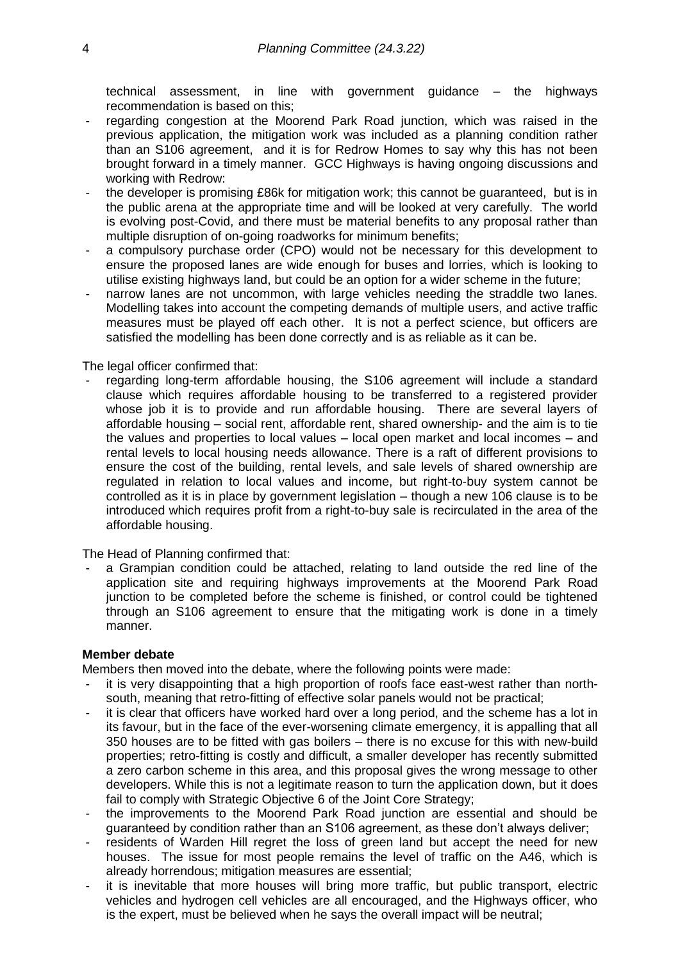technical assessment, in line with government guidance – the highways recommendation is based on this;

- regarding congestion at the Moorend Park Road junction, which was raised in the previous application, the mitigation work was included as a planning condition rather than an S106 agreement, and it is for Redrow Homes to say why this has not been brought forward in a timely manner. GCC Highways is having ongoing discussions and working with Redrow:
- the developer is promising £86k for mitigation work; this cannot be guaranteed, but is in the public arena at the appropriate time and will be looked at very carefully. The world is evolving post-Covid, and there must be material benefits to any proposal rather than multiple disruption of on-going roadworks for minimum benefits;
- a compulsory purchase order (CPO) would not be necessary for this development to ensure the proposed lanes are wide enough for buses and lorries, which is looking to utilise existing highways land, but could be an option for a wider scheme in the future;
- narrow lanes are not uncommon, with large vehicles needing the straddle two lanes. Modelling takes into account the competing demands of multiple users, and active traffic measures must be played off each other. It is not a perfect science, but officers are satisfied the modelling has been done correctly and is as reliable as it can be.

#### The legal officer confirmed that:

regarding long-term affordable housing, the S106 agreement will include a standard clause which requires affordable housing to be transferred to a registered provider whose job it is to provide and run affordable housing. There are several layers of affordable housing – social rent, affordable rent, shared ownership- and the aim is to tie the values and properties to local values – local open market and local incomes – and rental levels to local housing needs allowance. There is a raft of different provisions to ensure the cost of the building, rental levels, and sale levels of shared ownership are regulated in relation to local values and income, but right-to-buy system cannot be controlled as it is in place by government legislation – though a new 106 clause is to be introduced which requires profit from a right-to-buy sale is recirculated in the area of the affordable housing.

The Head of Planning confirmed that:

a Grampian condition could be attached, relating to land outside the red line of the application site and requiring highways improvements at the Moorend Park Road junction to be completed before the scheme is finished, or control could be tightened through an S106 agreement to ensure that the mitigating work is done in a timely manner.

#### **Member debate**

Members then moved into the debate, where the following points were made:

- it is very disappointing that a high proportion of roofs face east-west rather than northsouth, meaning that retro-fitting of effective solar panels would not be practical;
- it is clear that officers have worked hard over a long period, and the scheme has a lot in its favour, but in the face of the ever-worsening climate emergency, it is appalling that all 350 houses are to be fitted with gas boilers – there is no excuse for this with new-build properties; retro-fitting is costly and difficult, a smaller developer has recently submitted a zero carbon scheme in this area, and this proposal gives the wrong message to other developers. While this is not a legitimate reason to turn the application down, but it does fail to comply with Strategic Objective 6 of the Joint Core Strategy;
- the improvements to the Moorend Park Road junction are essential and should be guaranteed by condition rather than an S106 agreement, as these don't always deliver;
- residents of Warden Hill regret the loss of green land but accept the need for new houses. The issue for most people remains the level of traffic on the A46, which is already horrendous; mitigation measures are essential;
- it is inevitable that more houses will bring more traffic, but public transport, electric vehicles and hydrogen cell vehicles are all encouraged, and the Highways officer, who is the expert, must be believed when he says the overall impact will be neutral;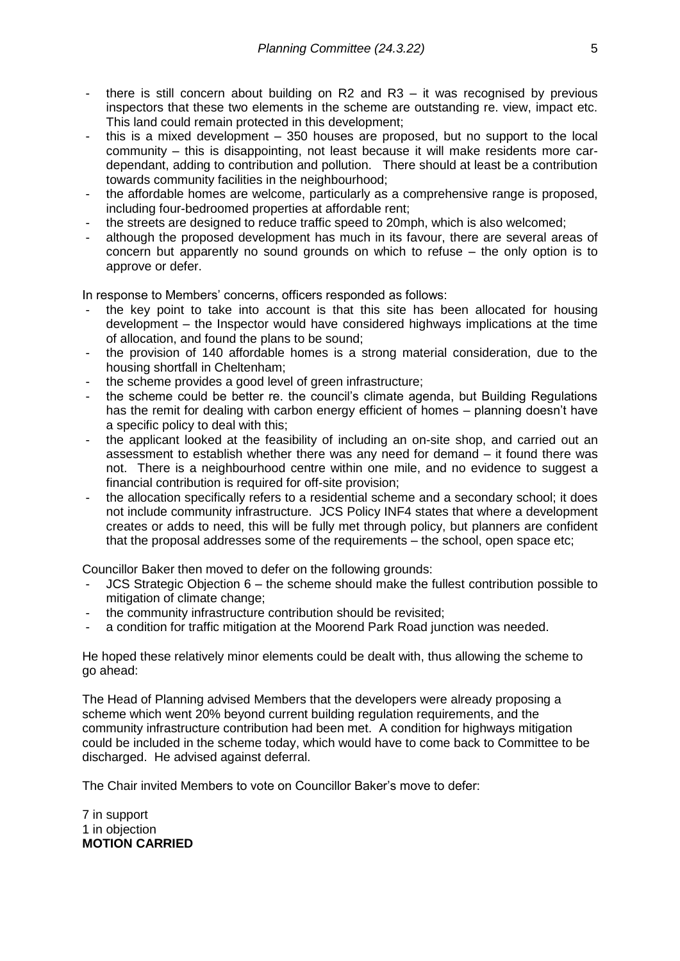- there is still concern about building on R2 and R3 it was recognised by previous inspectors that these two elements in the scheme are outstanding re. view, impact etc. This land could remain protected in this development;
- this is a mixed development 350 houses are proposed, but no support to the local community – this is disappointing, not least because it will make residents more cardependant, adding to contribution and pollution. There should at least be a contribution towards community facilities in the neighbourhood;
- the affordable homes are welcome, particularly as a comprehensive range is proposed, including four-bedroomed properties at affordable rent;
- the streets are designed to reduce traffic speed to 20mph, which is also welcomed;
- although the proposed development has much in its favour, there are several areas of concern but apparently no sound grounds on which to refuse – the only option is to approve or defer.

In response to Members' concerns, officers responded as follows:

- the key point to take into account is that this site has been allocated for housing development – the Inspector would have considered highways implications at the time of allocation, and found the plans to be sound;
- the provision of 140 affordable homes is a strong material consideration, due to the housing shortfall in Cheltenham;
- the scheme provides a good level of green infrastructure;
- the scheme could be better re. the council's climate agenda, but Building Regulations has the remit for dealing with carbon energy efficient of homes – planning doesn't have a specific policy to deal with this;
- the applicant looked at the feasibility of including an on-site shop, and carried out an assessment to establish whether there was any need for demand – it found there was not. There is a neighbourhood centre within one mile, and no evidence to suggest a financial contribution is required for off-site provision;
- the allocation specifically refers to a residential scheme and a secondary school; it does not include community infrastructure. JCS Policy INF4 states that where a development creates or adds to need, this will be fully met through policy, but planners are confident that the proposal addresses some of the requirements – the school, open space etc;

Councillor Baker then moved to defer on the following grounds:

- JCS Strategic Objection 6 the scheme should make the fullest contribution possible to mitigation of climate change;
- the community infrastructure contribution should be revisited;
- a condition for traffic mitigation at the Moorend Park Road junction was needed.

He hoped these relatively minor elements could be dealt with, thus allowing the scheme to go ahead:

The Head of Planning advised Members that the developers were already proposing a scheme which went 20% beyond current building regulation requirements, and the community infrastructure contribution had been met. A condition for highways mitigation could be included in the scheme today, which would have to come back to Committee to be discharged. He advised against deferral.

The Chair invited Members to vote on Councillor Baker's move to defer:

7 in support 1 in objection **MOTION CARRIED**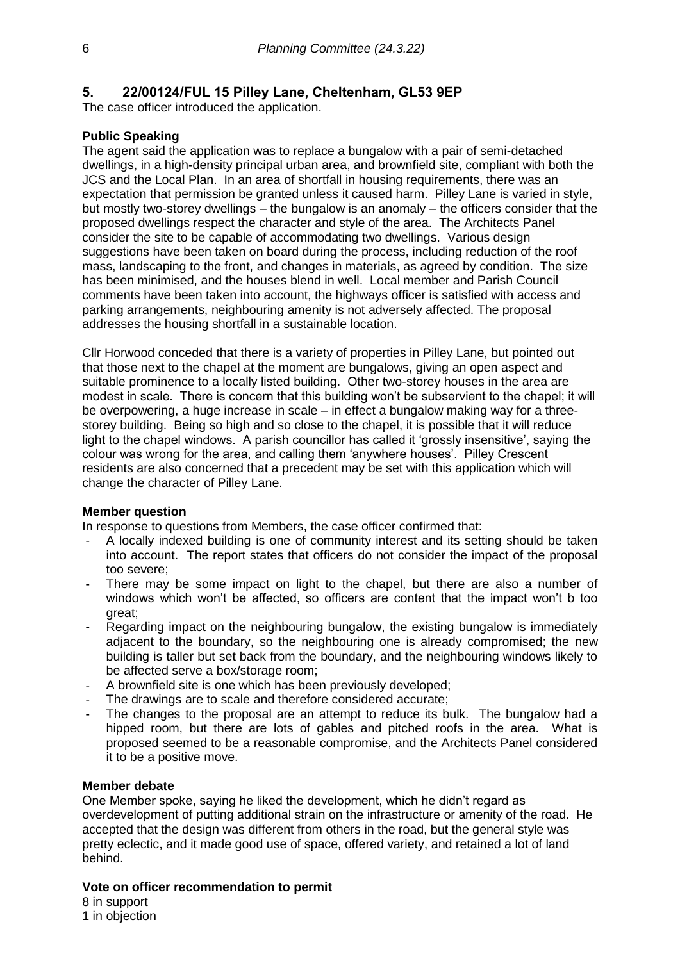# **5. 22/00124/FUL 15 Pilley Lane, Cheltenham, GL53 9EP**

The case officer introduced the application.

### **Public Speaking**

The agent said the application was to replace a bungalow with a pair of semi-detached dwellings, in a high-density principal urban area, and brownfield site, compliant with both the JCS and the Local Plan. In an area of shortfall in housing requirements, there was an expectation that permission be granted unless it caused harm. Pilley Lane is varied in style, but mostly two-storey dwellings – the bungalow is an anomaly – the officers consider that the proposed dwellings respect the character and style of the area. The Architects Panel consider the site to be capable of accommodating two dwellings. Various design suggestions have been taken on board during the process, including reduction of the roof mass, landscaping to the front, and changes in materials, as agreed by condition. The size has been minimised, and the houses blend in well. Local member and Parish Council comments have been taken into account, the highways officer is satisfied with access and parking arrangements, neighbouring amenity is not adversely affected. The proposal addresses the housing shortfall in a sustainable location.

Cllr Horwood conceded that there is a variety of properties in Pilley Lane, but pointed out that those next to the chapel at the moment are bungalows, giving an open aspect and suitable prominence to a locally listed building. Other two-storey houses in the area are modest in scale. There is concern that this building won't be subservient to the chapel; it will be overpowering, a huge increase in scale – in effect a bungalow making way for a threestorey building. Being so high and so close to the chapel, it is possible that it will reduce light to the chapel windows. A parish councillor has called it 'grossly insensitive', saying the colour was wrong for the area, and calling them 'anywhere houses'. Pilley Crescent residents are also concerned that a precedent may be set with this application which will change the character of Pilley Lane.

### **Member question**

In response to questions from Members, the case officer confirmed that:

- A locally indexed building is one of community interest and its setting should be taken into account. The report states that officers do not consider the impact of the proposal too severe;
- There may be some impact on light to the chapel, but there are also a number of windows which won't be affected, so officers are content that the impact won't b too great;
- Regarding impact on the neighbouring bungalow, the existing bungalow is immediately adjacent to the boundary, so the neighbouring one is already compromised; the new building is taller but set back from the boundary, and the neighbouring windows likely to be affected serve a box/storage room;
- A brownfield site is one which has been previously developed:
- The drawings are to scale and therefore considered accurate;
- The changes to the proposal are an attempt to reduce its bulk. The bungalow had a hipped room, but there are lots of gables and pitched roofs in the area. What is proposed seemed to be a reasonable compromise, and the Architects Panel considered it to be a positive move.

#### **Member debate**

One Member spoke, saying he liked the development, which he didn't regard as overdevelopment of putting additional strain on the infrastructure or amenity of the road. He accepted that the design was different from others in the road, but the general style was pretty eclectic, and it made good use of space, offered variety, and retained a lot of land behind.

#### **Vote on officer recommendation to permit**

8 in support 1 in objection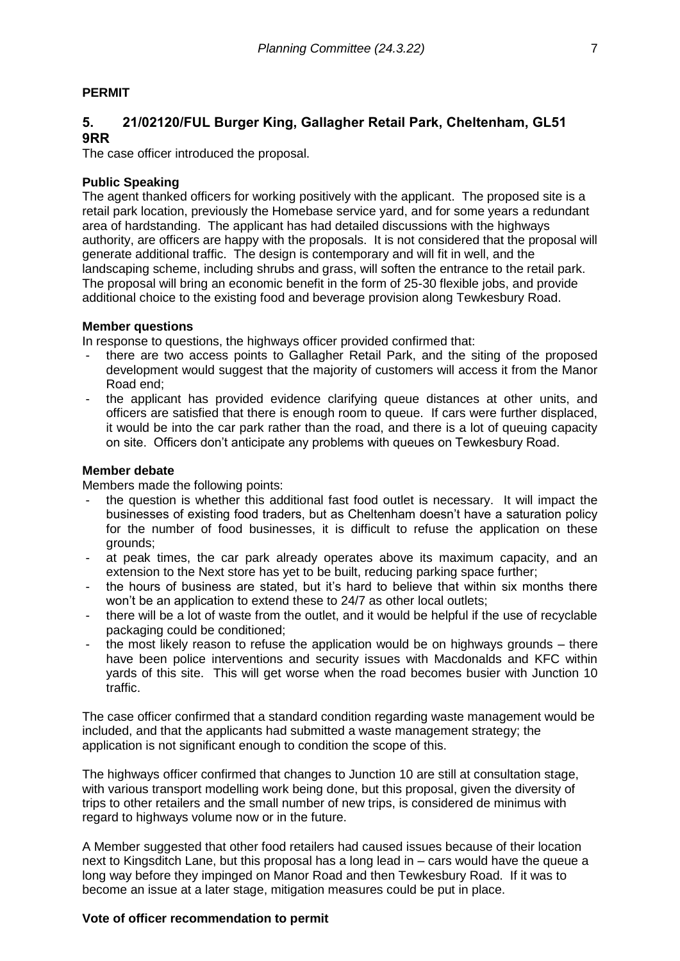# **PERMIT**

# **5. 21/02120/FUL Burger King, Gallagher Retail Park, Cheltenham, GL51 9RR**

The case officer introduced the proposal.

#### **Public Speaking**

The agent thanked officers for working positively with the applicant. The proposed site is a retail park location, previously the Homebase service yard, and for some years a redundant area of hardstanding. The applicant has had detailed discussions with the highways authority, are officers are happy with the proposals. It is not considered that the proposal will generate additional traffic. The design is contemporary and will fit in well, and the landscaping scheme, including shrubs and grass, will soften the entrance to the retail park. The proposal will bring an economic benefit in the form of 25-30 flexible jobs, and provide additional choice to the existing food and beverage provision along Tewkesbury Road.

#### **Member questions**

In response to questions, the highways officer provided confirmed that:

- there are two access points to Gallagher Retail Park, and the siting of the proposed development would suggest that the majority of customers will access it from the Manor Road end;
- the applicant has provided evidence clarifying queue distances at other units, and officers are satisfied that there is enough room to queue. If cars were further displaced, it would be into the car park rather than the road, and there is a lot of queuing capacity on site. Officers don't anticipate any problems with queues on Tewkesbury Road.

#### **Member debate**

Members made the following points:

- the question is whether this additional fast food outlet is necessary. It will impact the businesses of existing food traders, but as Cheltenham doesn't have a saturation policy for the number of food businesses, it is difficult to refuse the application on these grounds;
- at peak times, the car park already operates above its maximum capacity, and an extension to the Next store has yet to be built, reducing parking space further;
- the hours of business are stated, but it's hard to believe that within six months there won't be an application to extend these to 24/7 as other local outlets:
- there will be a lot of waste from the outlet, and it would be helpful if the use of recyclable packaging could be conditioned;
- the most likely reason to refuse the application would be on highways grounds there have been police interventions and security issues with Macdonalds and KFC within yards of this site. This will get worse when the road becomes busier with Junction 10 traffic.

The case officer confirmed that a standard condition regarding waste management would be included, and that the applicants had submitted a waste management strategy; the application is not significant enough to condition the scope of this.

The highways officer confirmed that changes to Junction 10 are still at consultation stage, with various transport modelling work being done, but this proposal, given the diversity of trips to other retailers and the small number of new trips, is considered de minimus with regard to highways volume now or in the future.

A Member suggested that other food retailers had caused issues because of their location next to Kingsditch Lane, but this proposal has a long lead in – cars would have the queue a long way before they impinged on Manor Road and then Tewkesbury Road. If it was to become an issue at a later stage, mitigation measures could be put in place.

### **Vote of officer recommendation to permit**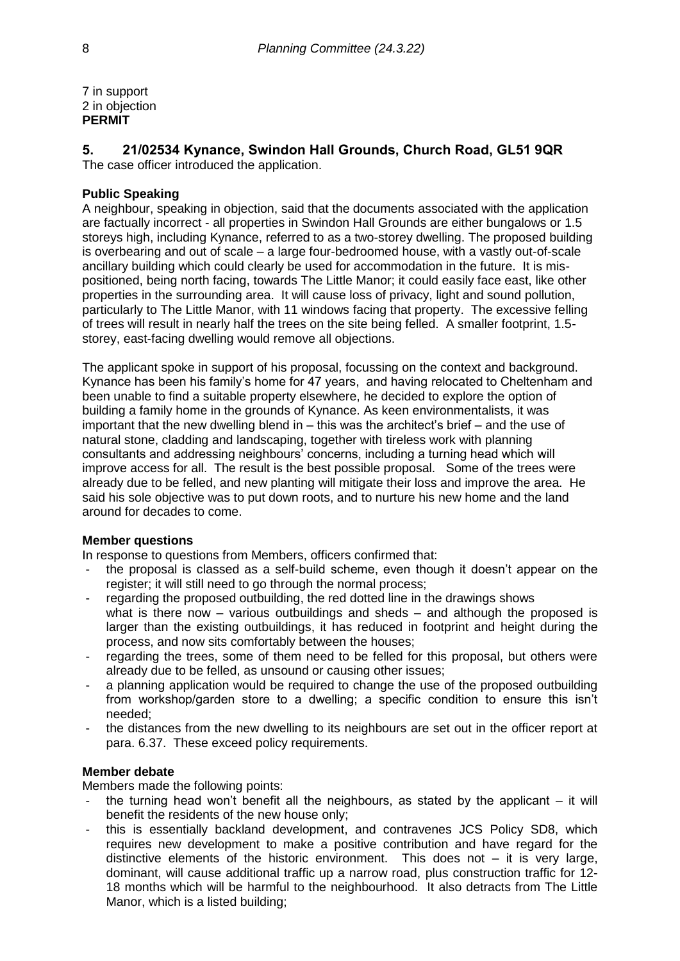7 in support 2 in objection **PERMIT**

### **5. 21/02534 Kynance, Swindon Hall Grounds, Church Road, GL51 9QR** The case officer introduced the application.

### **Public Speaking**

A neighbour, speaking in objection, said that the documents associated with the application are factually incorrect - all properties in Swindon Hall Grounds are either bungalows or 1.5 storeys high, including Kynance, referred to as a two-storey dwelling. The proposed building is overbearing and out of scale – a large four-bedroomed house, with a vastly out-of-scale ancillary building which could clearly be used for accommodation in the future. It is mispositioned, being north facing, towards The Little Manor; it could easily face east, like other properties in the surrounding area. It will cause loss of privacy, light and sound pollution, particularly to The Little Manor, with 11 windows facing that property. The excessive felling of trees will result in nearly half the trees on the site being felled. A smaller footprint, 1.5 storey, east-facing dwelling would remove all objections.

The applicant spoke in support of his proposal, focussing on the context and background. Kynance has been his family's home for 47 years, and having relocated to Cheltenham and been unable to find a suitable property elsewhere, he decided to explore the option of building a family home in the grounds of Kynance. As keen environmentalists, it was important that the new dwelling blend in – this was the architect's brief – and the use of natural stone, cladding and landscaping, together with tireless work with planning consultants and addressing neighbours' concerns, including a turning head which will improve access for all. The result is the best possible proposal. Some of the trees were already due to be felled, and new planting will mitigate their loss and improve the area. He said his sole objective was to put down roots, and to nurture his new home and the land around for decades to come.

### **Member questions**

In response to questions from Members, officers confirmed that:

- the proposal is classed as a self-build scheme, even though it doesn't appear on the register; it will still need to go through the normal process;
- regarding the proposed outbuilding, the red dotted line in the drawings shows what is there now – various outbuildings and sheds – and although the proposed is larger than the existing outbuildings, it has reduced in footprint and height during the process, and now sits comfortably between the houses;
- regarding the trees, some of them need to be felled for this proposal, but others were already due to be felled, as unsound or causing other issues;
- a planning application would be required to change the use of the proposed outbuilding from workshop/garden store to a dwelling; a specific condition to ensure this isn't needed;
- the distances from the new dwelling to its neighbours are set out in the officer report at para. 6.37. These exceed policy requirements.

### **Member debate**

Members made the following points:

- the turning head won't benefit all the neighbours, as stated by the applicant  $-$  it will benefit the residents of the new house only;
- this is essentially backland development, and contravenes JCS Policy SD8, which requires new development to make a positive contribution and have regard for the distinctive elements of the historic environment. This does not – it is very large, dominant, will cause additional traffic up a narrow road, plus construction traffic for 12- 18 months which will be harmful to the neighbourhood. It also detracts from The Little Manor, which is a listed building;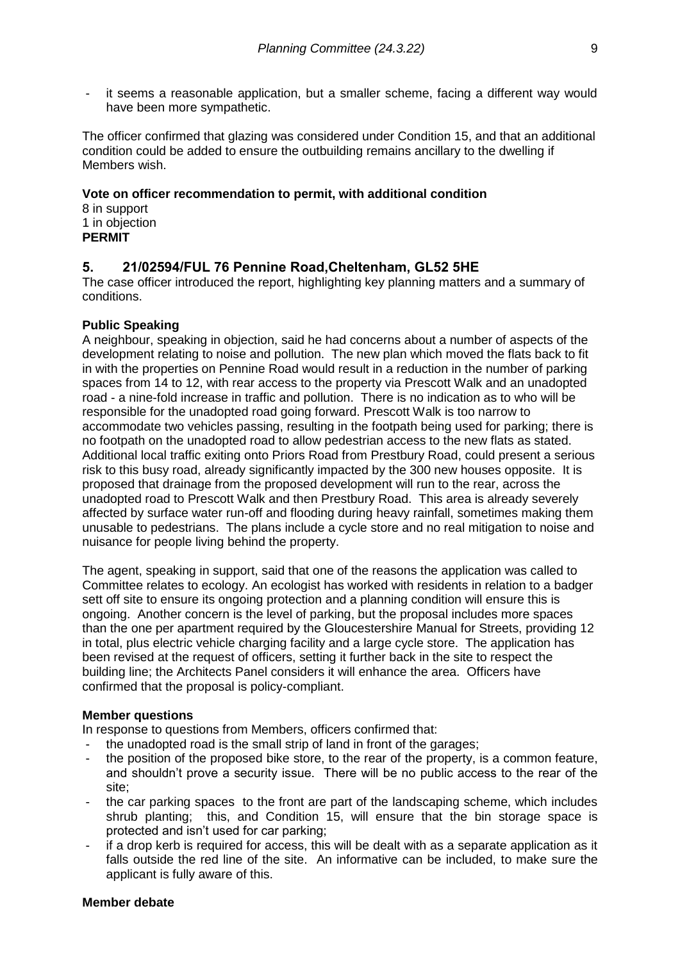it seems a reasonable application, but a smaller scheme, facing a different way would have been more sympathetic.

The officer confirmed that glazing was considered under Condition 15, and that an additional condition could be added to ensure the outbuilding remains ancillary to the dwelling if Members wish.

### **Vote on officer recommendation to permit, with additional condition**

8 in support 1 in objection **PERMIT**

# **5. 21/02594/FUL 76 Pennine Road,Cheltenham, GL52 5HE**

The case officer introduced the report, highlighting key planning matters and a summary of conditions.

#### **Public Speaking**

A neighbour, speaking in objection, said he had concerns about a number of aspects of the development relating to noise and pollution. The new plan which moved the flats back to fit in with the properties on Pennine Road would result in a reduction in the number of parking spaces from 14 to 12, with rear access to the property via Prescott Walk and an unadopted road - a nine-fold increase in traffic and pollution. There is no indication as to who will be responsible for the unadopted road going forward. Prescott Walk is too narrow to accommodate two vehicles passing, resulting in the footpath being used for parking; there is no footpath on the unadopted road to allow pedestrian access to the new flats as stated. Additional local traffic exiting onto Priors Road from Prestbury Road, could present a serious risk to this busy road, already significantly impacted by the 300 new houses opposite. It is proposed that drainage from the proposed development will run to the rear, across the unadopted road to Prescott Walk and then Prestbury Road. This area is already severely affected by surface water run-off and flooding during heavy rainfall, sometimes making them unusable to pedestrians. The plans include a cycle store and no real mitigation to noise and nuisance for people living behind the property.

The agent, speaking in support, said that one of the reasons the application was called to Committee relates to ecology. An ecologist has worked with residents in relation to a badger sett off site to ensure its ongoing protection and a planning condition will ensure this is ongoing. Another concern is the level of parking, but the proposal includes more spaces than the one per apartment required by the Gloucestershire Manual for Streets, providing 12 in total, plus electric vehicle charging facility and a large cycle store. The application has been revised at the request of officers, setting it further back in the site to respect the building line; the Architects Panel considers it will enhance the area. Officers have confirmed that the proposal is policy-compliant.

#### **Member questions**

In response to questions from Members, officers confirmed that:

- the unadopted road is the small strip of land in front of the garages;
- the position of the proposed bike store, to the rear of the property, is a common feature, and shouldn't prove a security issue. There will be no public access to the rear of the site;
- the car parking spaces to the front are part of the landscaping scheme, which includes shrub planting; this, and Condition 15, will ensure that the bin storage space is protected and isn't used for car parking;
- if a drop kerb is required for access, this will be dealt with as a separate application as it falls outside the red line of the site. An informative can be included, to make sure the applicant is fully aware of this.

#### **Member debate**